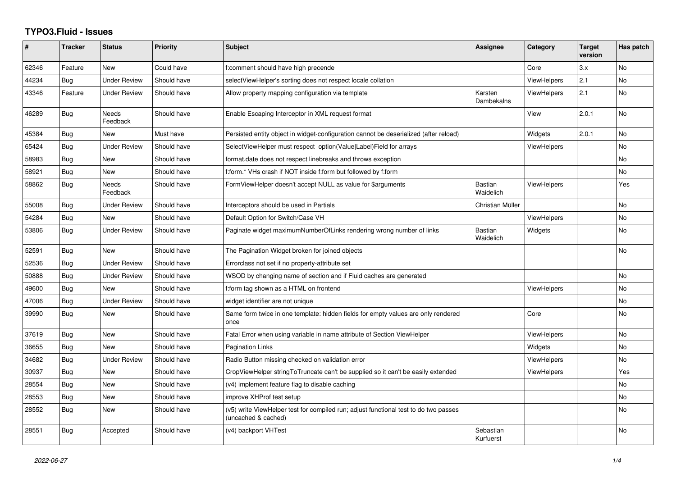## **TYPO3.Fluid - Issues**

| #     | <b>Tracker</b> | <b>Status</b>       | Priority    | <b>Subject</b>                                                                                              | Assignee                    | Category           | <b>Target</b><br>version | Has patch |
|-------|----------------|---------------------|-------------|-------------------------------------------------------------------------------------------------------------|-----------------------------|--------------------|--------------------------|-----------|
| 62346 | Feature        | <b>New</b>          | Could have  | f:comment should have high precende                                                                         |                             | Core               | 3.x                      | <b>No</b> |
| 44234 | <b>Bug</b>     | Under Review        | Should have | selectViewHelper's sorting does not respect locale collation                                                |                             | <b>ViewHelpers</b> | 2.1                      | No        |
| 43346 | Feature        | <b>Under Review</b> | Should have | Allow property mapping configuration via template                                                           | Karsten<br>Dambekalns       | <b>ViewHelpers</b> | 2.1                      | <b>No</b> |
| 46289 | <b>Bug</b>     | Needs<br>Feedback   | Should have | Enable Escaping Interceptor in XML request format                                                           |                             | View               | 2.0.1                    | <b>No</b> |
| 45384 | Bug            | New                 | Must have   | Persisted entity object in widget-configuration cannot be deserialized (after reload)                       |                             | Widgets            | 2.0.1                    | No        |
| 65424 | Bug            | <b>Under Review</b> | Should have | SelectViewHelper must respect option(Value Label)Field for arrays                                           |                             | <b>ViewHelpers</b> |                          | <b>No</b> |
| 58983 | <b>Bug</b>     | New                 | Should have | format.date does not respect linebreaks and throws exception                                                |                             |                    |                          | <b>No</b> |
| 58921 | Bug            | New                 | Should have | f:form.* VHs crash if NOT inside f:form but followed by f:form                                              |                             |                    |                          | No        |
| 58862 | Bug            | Needs<br>Feedback   | Should have | FormViewHelper doesn't accept NULL as value for \$arguments                                                 | <b>Bastian</b><br>Waidelich | <b>ViewHelpers</b> |                          | Yes       |
| 55008 | Bug            | <b>Under Review</b> | Should have | Interceptors should be used in Partials                                                                     | Christian Müller            |                    |                          | No        |
| 54284 | Bug            | <b>New</b>          | Should have | Default Option for Switch/Case VH                                                                           |                             | <b>ViewHelpers</b> |                          | <b>No</b> |
| 53806 | Bug            | Under Review        | Should have | Paginate widget maximumNumberOfLinks rendering wrong number of links                                        | <b>Bastian</b><br>Waidelich | Widgets            |                          | No.       |
| 52591 | Bug            | New                 | Should have | The Pagination Widget broken for joined objects                                                             |                             |                    |                          | <b>No</b> |
| 52536 | <b>Bug</b>     | <b>Under Review</b> | Should have | Errorclass not set if no property-attribute set                                                             |                             |                    |                          |           |
| 50888 | Bug            | <b>Under Review</b> | Should have | WSOD by changing name of section and if Fluid caches are generated                                          |                             |                    |                          | No        |
| 49600 | Bug            | <b>New</b>          | Should have | f:form tag shown as a HTML on frontend                                                                      |                             | <b>ViewHelpers</b> |                          | <b>No</b> |
| 47006 | <b>Bug</b>     | <b>Under Review</b> | Should have | widget identifier are not unique                                                                            |                             |                    |                          | No.       |
| 39990 | <b>Bug</b>     | New                 | Should have | Same form twice in one template: hidden fields for empty values are only rendered<br>once                   |                             | Core               |                          | No        |
| 37619 | Bug            | New                 | Should have | Fatal Error when using variable in name attribute of Section ViewHelper                                     |                             | <b>ViewHelpers</b> |                          | No        |
| 36655 | Bug            | New                 | Should have | <b>Pagination Links</b>                                                                                     |                             | Widgets            |                          | No        |
| 34682 | Bug            | <b>Under Review</b> | Should have | Radio Button missing checked on validation error                                                            |                             | <b>ViewHelpers</b> |                          | No        |
| 30937 | Bug            | New                 | Should have | CropViewHelper stringToTruncate can't be supplied so it can't be easily extended                            |                             | <b>ViewHelpers</b> |                          | Yes       |
| 28554 | Bug            | New                 | Should have | (v4) implement feature flag to disable caching                                                              |                             |                    |                          | No        |
| 28553 | Bug            | New                 | Should have | improve XHProf test setup                                                                                   |                             |                    |                          | No        |
| 28552 | Bug            | New                 | Should have | (v5) write ViewHelper test for compiled run; adjust functional test to do two passes<br>(uncached & cached) |                             |                    |                          | <b>No</b> |
| 28551 | Bug            | Accepted            | Should have | (v4) backport VHTest                                                                                        | Sebastian<br>Kurfuerst      |                    |                          | No.       |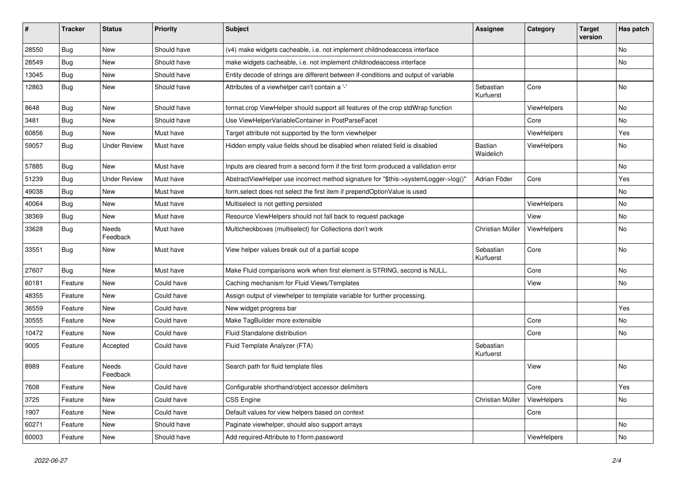| ∦     | <b>Tracker</b> | <b>Status</b>            | <b>Priority</b> | <b>Subject</b>                                                                       | <b>Assignee</b>        | Category    | <b>Target</b><br>version | Has patch |
|-------|----------------|--------------------------|-----------------|--------------------------------------------------------------------------------------|------------------------|-------------|--------------------------|-----------|
| 28550 | Bug            | New                      | Should have     | (v4) make widgets cacheable, i.e. not implement childnodeaccess interface            |                        |             |                          | No        |
| 28549 | Bug            | New                      | Should have     | make widgets cacheable, i.e. not implement childnodeaccess interface                 |                        |             |                          | No        |
| 13045 | <b>Bug</b>     | New                      | Should have     | Entity decode of strings are different between if-conditions and output of variable  |                        |             |                          |           |
| 12863 | Bug            | New                      | Should have     | Attributes of a viewhelper can't contain a '-'                                       | Sebastian<br>Kurfuerst | Core        |                          | <b>No</b> |
| 8648  | Bug            | <b>New</b>               | Should have     | format.crop ViewHelper should support all features of the crop stdWrap function      |                        | ViewHelpers |                          | No.       |
| 3481  | <b>Bug</b>     | New                      | Should have     | Use ViewHelperVariableContainer in PostParseFacet                                    |                        | Core        |                          | No        |
| 60856 | Bug            | New                      | Must have       | Target attribute not supported by the form viewhelper                                |                        | ViewHelpers |                          | Yes       |
| 59057 | Bug            | <b>Under Review</b>      | Must have       | Hidden empty value fields shoud be disabled when related field is disabled           | Bastian<br>Waidelich   | ViewHelpers |                          | No        |
| 57885 | Bug            | New                      | Must have       | Inputs are cleared from a second form if the first form produced a vallidation error |                        |             |                          | No        |
| 51239 | Bug            | <b>Under Review</b>      | Must have       | AbstractViewHelper use incorrect method signature for "\$this->systemLogger->log()"  | Adrian Föder           | Core        |                          | Yes       |
| 49038 | Bug            | New                      | Must have       | form.select does not select the first item if prependOptionValue is used             |                        |             |                          | No        |
| 40064 | Bug            | <b>New</b>               | Must have       | Multiselect is not getting persisted                                                 |                        | ViewHelpers |                          | No.       |
| 38369 | Bug            | New                      | Must have       | Resource ViewHelpers should not fall back to request package                         |                        | View        |                          | No        |
| 33628 | <b>Bug</b>     | Needs<br>Feedback        | Must have       | Multicheckboxes (multiselect) for Collections don't work                             | Christian Müller       | ViewHelpers |                          | No        |
| 33551 | <b>Bug</b>     | New                      | Must have       | View helper values break out of a partial scope                                      | Sebastian<br>Kurfuerst | Core        |                          | No        |
| 27607 | Bug            | <b>New</b>               | Must have       | Make Fluid comparisons work when first element is STRING, second is NULL.            |                        | Core        |                          | No.       |
| 60181 | Feature        | New                      | Could have      | Caching mechanism for Fluid Views/Templates                                          |                        | View        |                          | No        |
| 48355 | Feature        | <b>New</b>               | Could have      | Assign output of viewhelper to template variable for further processing.             |                        |             |                          |           |
| 36559 | Feature        | New                      | Could have      | New widget progress bar                                                              |                        |             |                          | Yes       |
| 30555 | Feature        | New                      | Could have      | Make TagBuilder more extensible                                                      |                        | Core        |                          | No        |
| 10472 | Feature        | New                      | Could have      | Fluid Standalone distribution                                                        |                        | Core        |                          | No        |
| 9005  | Feature        | Accepted                 | Could have      | Fluid Template Analyzer (FTA)                                                        | Sebastian<br>Kurfuerst |             |                          |           |
| 8989  | Feature        | <b>Needs</b><br>Feedback | Could have      | Search path for fluid template files                                                 |                        | View        |                          | No        |
| 7608  | Feature        | New                      | Could have      | Configurable shorthand/object accessor delimiters                                    |                        | Core        |                          | Yes       |
| 3725  | Feature        | New                      | Could have      | <b>CSS Engine</b>                                                                    | Christian Müller       | ViewHelpers |                          | No        |
| 1907  | Feature        | New                      | Could have      | Default values for view helpers based on context                                     |                        | Core        |                          |           |
| 60271 | Feature        | New                      | Should have     | Paginate viewhelper, should also support arrays                                      |                        |             |                          | No        |
| 60003 | Feature        | New                      | Should have     | Add required-Attribute to f:form.password                                            |                        | ViewHelpers |                          | No        |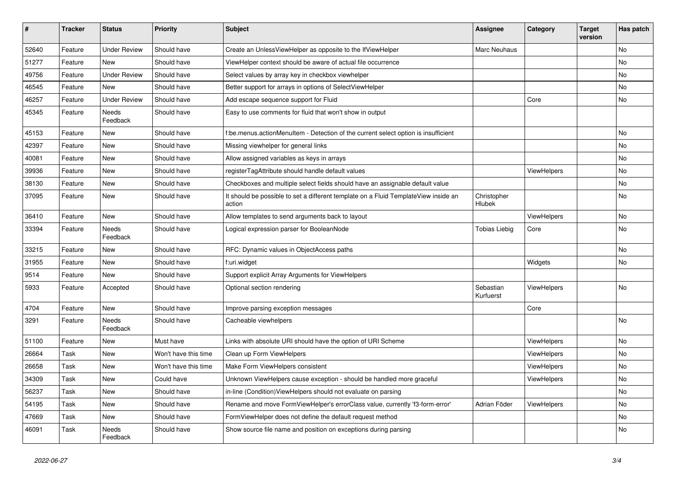| $\vert$ # | <b>Tracker</b> | <b>Status</b>            | <b>Priority</b>      | <b>Subject</b>                                                                                | Assignee               | Category           | <b>Target</b><br>version | Has patch |
|-----------|----------------|--------------------------|----------------------|-----------------------------------------------------------------------------------------------|------------------------|--------------------|--------------------------|-----------|
| 52640     | Feature        | <b>Under Review</b>      | Should have          | Create an UnlessViewHelper as opposite to the IfViewHelper                                    | Marc Neuhaus           |                    |                          | <b>No</b> |
| 51277     | Feature        | New                      | Should have          | ViewHelper context should be aware of actual file occurrence                                  |                        |                    |                          | <b>No</b> |
| 49756     | Feature        | <b>Under Review</b>      | Should have          | Select values by array key in checkbox viewhelper                                             |                        |                    |                          | No        |
| 46545     | Feature        | <b>New</b>               | Should have          | Better support for arrays in options of SelectViewHelper                                      |                        |                    |                          | No        |
| 46257     | Feature        | <b>Under Review</b>      | Should have          | Add escape sequence support for Fluid                                                         |                        | Core               |                          | No        |
| 45345     | Feature        | Needs<br>Feedback        | Should have          | Easy to use comments for fluid that won't show in output                                      |                        |                    |                          |           |
| 45153     | Feature        | <b>New</b>               | Should have          | f:be.menus.actionMenuItem - Detection of the current select option is insufficient            |                        |                    |                          | <b>No</b> |
| 42397     | Feature        | New                      | Should have          | Missing viewhelper for general links                                                          |                        |                    |                          | No        |
| 40081     | Feature        | New                      | Should have          | Allow assigned variables as keys in arrays                                                    |                        |                    |                          | No        |
| 39936     | Feature        | New                      | Should have          | registerTagAttribute should handle default values                                             |                        | ViewHelpers        |                          | No        |
| 38130     | Feature        | <b>New</b>               | Should have          | Checkboxes and multiple select fields should have an assignable default value                 |                        |                    |                          | No        |
| 37095     | Feature        | <b>New</b>               | Should have          | It should be possible to set a different template on a Fluid TemplateView inside an<br>action | Christopher<br>Hlubek  |                    |                          | No        |
| 36410     | Feature        | New                      | Should have          | Allow templates to send arguments back to layout                                              |                        | ViewHelpers        |                          | <b>No</b> |
| 33394     | Feature        | <b>Needs</b><br>Feedback | Should have          | Logical expression parser for BooleanNode                                                     | <b>Tobias Liebig</b>   | Core               |                          | <b>No</b> |
| 33215     | Feature        | <b>New</b>               | Should have          | RFC: Dynamic values in ObjectAccess paths                                                     |                        |                    |                          | <b>No</b> |
| 31955     | Feature        | <b>New</b>               | Should have          | f:uri.widget                                                                                  |                        | Widgets            |                          | No        |
| 9514      | Feature        | New                      | Should have          | Support explicit Array Arguments for ViewHelpers                                              |                        |                    |                          |           |
| 5933      | Feature        | Accepted                 | Should have          | Optional section rendering                                                                    | Sebastian<br>Kurfuerst | ViewHelpers        |                          | No        |
| 4704      | Feature        | New                      | Should have          | Improve parsing exception messages                                                            |                        | Core               |                          |           |
| 3291      | Feature        | Needs<br>Feedback        | Should have          | Cacheable viewhelpers                                                                         |                        |                    |                          | <b>No</b> |
| 51100     | Feature        | New                      | Must have            | Links with absolute URI should have the option of URI Scheme                                  |                        | <b>ViewHelpers</b> |                          | <b>No</b> |
| 26664     | Task           | New                      | Won't have this time | Clean up Form ViewHelpers                                                                     |                        | <b>ViewHelpers</b> |                          | <b>No</b> |
| 26658     | Task           | New                      | Won't have this time | Make Form ViewHelpers consistent                                                              |                        | ViewHelpers        |                          | <b>No</b> |
| 34309     | Task           | New                      | Could have           | Unknown ViewHelpers cause exception - should be handled more graceful                         |                        | ViewHelpers        |                          | No        |
| 56237     | Task           | <b>New</b>               | Should have          | in-line (Condition) ViewHelpers should not evaluate on parsing                                |                        |                    |                          | <b>No</b> |
| 54195     | Task           | New                      | Should have          | Rename and move FormViewHelper's errorClass value, currently 'f3-form-error'                  | Adrian Föder           | ViewHelpers        |                          | <b>No</b> |
| 47669     | Task           | New                      | Should have          | FormViewHelper does not define the default request method                                     |                        |                    |                          | No        |
| 46091     | Task           | Needs<br>Feedback        | Should have          | Show source file name and position on exceptions during parsing                               |                        |                    |                          | <b>No</b> |